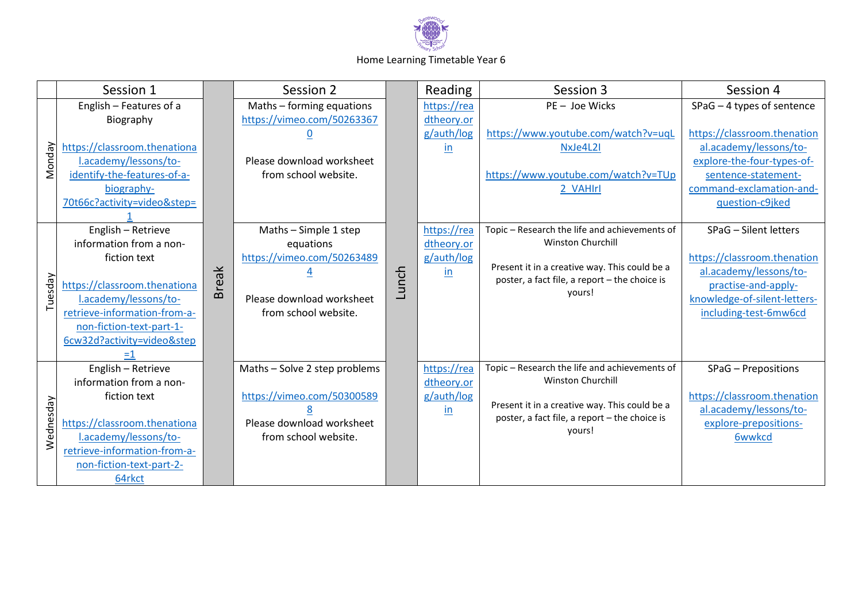

## Home Learning Timetable Year 6

|           | Session 1                                              |              | Session 2                     |       | Reading       | Session 3                                                                                                           | Session 4                    |
|-----------|--------------------------------------------------------|--------------|-------------------------------|-------|---------------|---------------------------------------------------------------------------------------------------------------------|------------------------------|
|           | English - Features of a                                |              | Maths - forming equations     |       | https://rea   | PE- Joe Wicks                                                                                                       | $SPaG - 4$ types of sentence |
|           | Biography                                              |              | https://vimeo.com/50263367    |       | dtheory.or    |                                                                                                                     |                              |
|           |                                                        |              |                               |       | g/auth/log    | https://www.youtube.com/watch?v=uqL                                                                                 | https://classroom.thenation  |
|           | https://classroom.thenationa                           |              |                               |       | <i>in</i>     | NxJe4L2I                                                                                                            | al.academy/lessons/to-       |
| Monday    | l.academy/lessons/to-                                  |              | Please download worksheet     |       |               |                                                                                                                     | explore-the-four-types-of-   |
|           | identify-the-features-of-a-                            |              | from school website.          |       |               | https://www.youtube.com/watch?v=TUp                                                                                 | sentence-statement-          |
|           | biography-                                             |              |                               |       |               | 2_VAHIrl                                                                                                            | command-exclamation-and-     |
|           | 70t66c?activity=video&step=                            |              |                               |       |               |                                                                                                                     | guestion-c9jked              |
|           |                                                        | <b>Break</b> |                               | Lunch |               |                                                                                                                     |                              |
|           | English - Retrieve                                     |              | Maths - Simple 1 step         |       | https://rea   | Topic - Research the life and achievements of                                                                       | SPaG - Silent letters        |
|           | information from a non-                                |              | equations                     |       | dtheory.or    | <b>Winston Churchill</b>                                                                                            |                              |
| Tuesday   | fiction text                                           |              | https://vimeo.com/50263489    |       | g/auth/log    | Present it in a creative way. This could be a<br>poster, a fact file, a report - the choice is                      | https://classroom.thenation  |
|           |                                                        |              |                               |       | $\mathsf{in}$ |                                                                                                                     | al.academy/lessons/to-       |
|           | https://classroom.thenationa                           |              |                               |       |               | yours!                                                                                                              | practise-and-apply-          |
|           | l.academy/lessons/to-                                  |              | Please download worksheet     |       |               |                                                                                                                     | knowledge-of-silent-letters- |
|           | retrieve-information-from-a-                           |              | from school website.          |       |               |                                                                                                                     | including-test-6mw6cd        |
|           | non-fiction-text-part-1-<br>6cw32d?activity=video&step |              |                               |       |               |                                                                                                                     |                              |
|           | $=1$                                                   |              |                               |       |               |                                                                                                                     |                              |
|           | English - Retrieve                                     |              | Maths - Solve 2 step problems |       | https://rea   | Topic - Research the life and achievements of                                                                       | SPaG - Prepositions          |
| Wednesday | information from a non-                                |              |                               |       | dtheory.or    | Winston Churchill<br>Present it in a creative way. This could be a<br>poster, a fact file, a report - the choice is |                              |
|           | fiction text                                           |              | https://vimeo.com/50300589    |       | g/auth/log    |                                                                                                                     | https://classroom.thenation  |
|           |                                                        |              |                               |       | in            |                                                                                                                     | al.academy/lessons/to-       |
|           | https://classroom.thenationa                           |              | Please download worksheet     |       |               |                                                                                                                     | explore-prepositions-        |
|           | l.academy/lessons/to-                                  |              | from school website.          |       |               | yours!                                                                                                              | <b>6wwkcd</b>                |
|           | retrieve-information-from-a-                           |              |                               |       |               |                                                                                                                     |                              |
|           | non-fiction-text-part-2-                               |              |                               |       |               |                                                                                                                     |                              |
|           | 64rkct                                                 |              |                               |       |               |                                                                                                                     |                              |